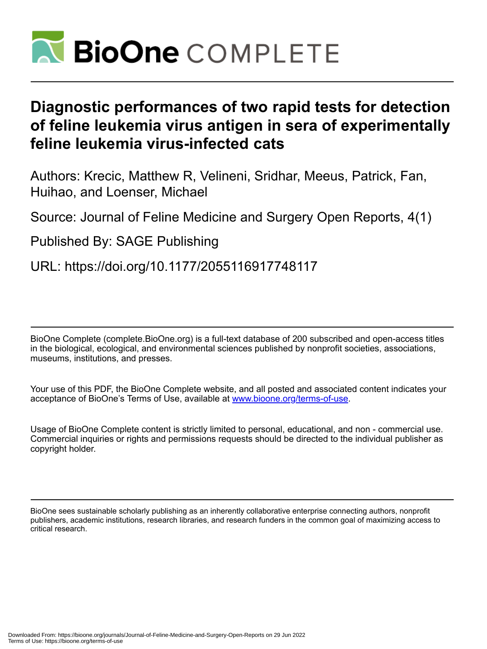

# **Diagnostic performances of two rapid tests for detection of feline leukemia virus antigen in sera of experimentally feline leukemia virus-infected cats**

Authors: Krecic, Matthew R, Velineni, Sridhar, Meeus, Patrick, Fan, Huihao, and Loenser, Michael

Source: Journal of Feline Medicine and Surgery Open Reports, 4(1)

Published By: SAGE Publishing

URL: https://doi.org/10.1177/2055116917748117

BioOne Complete (complete.BioOne.org) is a full-text database of 200 subscribed and open-access titles in the biological, ecological, and environmental sciences published by nonprofit societies, associations, museums, institutions, and presses.

Your use of this PDF, the BioOne Complete website, and all posted and associated content indicates your acceptance of BioOne's Terms of Use, available at www.bioone.org/terms-of-use.

Usage of BioOne Complete content is strictly limited to personal, educational, and non - commercial use. Commercial inquiries or rights and permissions requests should be directed to the individual publisher as copyright holder.

BioOne sees sustainable scholarly publishing as an inherently collaborative enterprise connecting authors, nonprofit publishers, academic institutions, research libraries, and research funders in the common goal of maximizing access to critical research.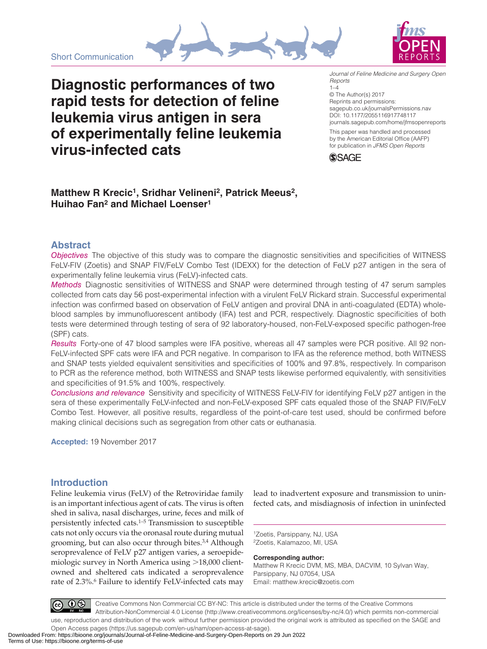



**Diagnostic performances of two rapid tests for detection of feline leukemia virus antigen in sera of experimentally feline leukemia virus-infected cats**

DOI: 10.1177/2055116917748117 *Journal of Feline Medicine and Surgery Open Reports*  $1 - 4$ © The Author(s) 2017 Reprints and permissions: [sagepub.co.uk/journalsPermissions.nav](https://uk.sagepub.com/en-gb/journals-permissions)

[journals.sagepub.com/home/jfmsopenreports](https://journals.sagepub.com/home/jfmsopenreports
)

This paper was handled and processed by the American Editorial Office (AAFP) for publication in *JFMS Open Reports*



## **Matthew R Krecic1, Sridhar Velineni2, Patrick Meeus2, Huihao Fan2 and Michael Loenser1**

### **Abstract**

*Objectives* The objective of this study was to compare the diagnostic sensitivities and specificities of WITNESS FeLV-FIV (Zoetis) and SNAP FIV/FeLV Combo Test (IDEXX) for the detection of FeLV p27 antigen in the sera of experimentally feline leukemia virus (FeLV)-infected cats.

*Methods* Diagnostic sensitivities of WITNESS and SNAP were determined through testing of 47 serum samples collected from cats day 56 post-experimental infection with a virulent FeLV Rickard strain. Successful experimental infection was confirmed based on observation of FeLV antigen and proviral DNA in anti-coagulated (EDTA) wholeblood samples by immunofluorescent antibody (IFA) test and PCR, respectively. Diagnostic specificities of both tests were determined through testing of sera of 92 laboratory-housed, non-FeLV-exposed specific pathogen-free (SPF) cats.

*Results* Forty-one of 47 blood samples were IFA positive, whereas all 47 samples were PCR positive. All 92 non-FeLV-infected SPF cats were IFA and PCR negative. In comparison to IFA as the reference method, both WITNESS and SNAP tests yielded equivalent sensitivities and specificities of 100% and 97.8%, respectively. In comparison to PCR as the reference method, both WITNESS and SNAP tests likewise performed equivalently, with sensitivities and specificities of 91.5% and 100%, respectively.

*Conclusions and relevance* Sensitivity and specificity of WITNESS FeLV-FIV for identifying FeLV p27 antigen in the sera of these experimentally FeLV-infected and non-FeLV-exposed SPF cats equaled those of the SNAP FIV/FeLV Combo Test. However, all positive results, regardless of the point-of-care test used, should be confirmed before making clinical decisions such as segregation from other cats or euthanasia.

**Accepted:** 19 November 2017

## **Introduction**

Feline leukemia virus (FeLV) of the Retroviridae family is an important infectious agent of cats. The virus is often shed in saliva, nasal discharges, urine, feces and milk of persistently infected cats.1–5 Transmission to susceptible cats not only occurs via the oronasal route during mutual grooming, but can also occur through bites.3,4 Although seroprevalence of FeLV p27 antigen varies, a seroepidemiologic survey in North America using >18,000 clientowned and sheltered cats indicated a seroprevalence rate of 2.3%.<sup>6</sup> Failure to identify FeLV-infected cats may

lead to inadvertent exposure and transmission to uninfected cats, and misdiagnosis of infection in uninfected

1Zoetis, Parsippany, NJ, USA 2Zoetis, Kalamazoo, MI, USA

**Corresponding author:**

Matthew R Krecic DVM, MS, MBA, DACVIM, 10 Sylvan Way, Parsippany, NJ 07054, USA Email: [matthew.krecic@zoetis.com](mailto:matthew.krecic@zoetis.com)



Creative Commons Non Commercial CC BY-NC: This article is distributed under the terms of the Creative Commons Attribution-NonCommercial 4.0 License (http://www.creativecommons.org/licenses/by-nc/4.0/) which permits non-commercial use, reproduction and distribution of the work without further permission provided the original work is attributed as specified on the SAGE and

Open Access pages (https://us.sagepub.com/en-us/nam/open-access-at-sage). Downloaded From: https://bioone.org/journals/Journal-of-Feline-Medicine-and-Surgery-Open-Reports on 29 Jun 2022 Terms of Use: https://bioone.org/terms-of-use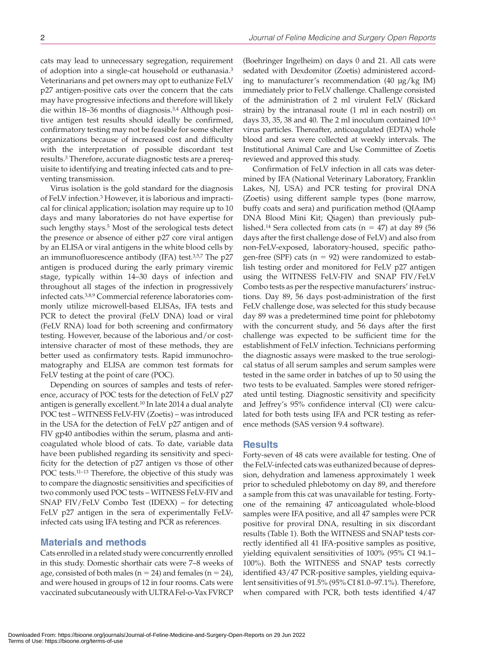cats may lead to unnecessary segregation, requirement of adoption into a single-cat household or euthanasia.3 Veterinarians and pet owners may opt to euthanize FeLV p27 antigen-positive cats over the concern that the cats may have progressive infections and therefore will likely die within 18–36 months of diagnosis.3,4 Although positive antigen test results should ideally be confirmed, confirmatory testing may not be feasible for some shelter organizations because of increased cost and difficulty with the interpretation of possible discordant test results.3 Therefore, accurate diagnostic tests are a prerequisite to identifying and treating infected cats and to preventing transmission.

Virus isolation is the gold standard for the diagnosis of FeLV infection.3 However, it is laborious and impractical for clinical application; isolation may require up to 10 days and many laboratories do not have expertise for such lengthy stays.<sup>5</sup> Most of the serological tests detect the presence or absence of either p27 core viral antigen by an ELISA or viral antigens in the white blood cells by an immunofluorescence antibody (IFA) test. $3,5,7$  The p27 antigen is produced during the early primary viremic stage, typically within 14–30 days of infection and throughout all stages of the infection in progressively infected cats.3,8,9 Commercial reference laboratories commonly utilize microwell-based ELISAs, IFA tests and PCR to detect the proviral (FeLV DNA) load or viral (FeLV RNA) load for both screening and confirmatory testing. However, because of the laborious and/or costintensive character of most of these methods, they are better used as confirmatory tests. Rapid immunochromatography and ELISA are common test formats for FeLV testing at the point of care (POC).

Depending on sources of samples and tests of reference, accuracy of POC tests for the detection of FeLV p27 antigen is generally excellent.10 In late 2014 a dual analyte POC test – WITNESS FeLV-FIV (Zoetis) – was introduced in the USA for the detection of FeLV p27 antigen and of FIV gp40 antibodies within the serum, plasma and anticoagulated whole blood of cats. To date, variable data have been published regarding its sensitivity and specificity for the detection of p27 antigen vs those of other POC tests.<sup>11-13</sup> Therefore, the objective of this study was to compare the diagnostic sensitivities and specificities of two commonly used POC tests – WITNESS FeLV-FIV and SNAP FIV/FeLV Combo Test (IDEXX) – for detecting FeLV p27 antigen in the sera of experimentally FeLVinfected cats using IFA testing and PCR as references.

#### **Materials and methods**

Cats enrolled in a related study were concurrently enrolled in this study. Domestic shorthair cats were 7–8 weeks of age, consisted of both males ( $n = 24$ ) and females ( $n = 24$ ), and were housed in groups of 12 in four rooms. Cats were vaccinated subcutaneously with ULTRA Fel-o-Vax FVRCP

(Boehringer Ingelheim) on days 0 and 21. All cats were sedated with Dexdomitor (Zoetis) administered according to manufacturer's recommendation (40 µg/kg IM) immediately prior to FeLV challenge. Challenge consisted of the administration of 2 ml virulent FeLV (Rickard strain) by the intranasal route (1 ml in each nostril) on days 33, 35, 38 and 40. The 2 ml inoculum contained  $10^{6.5}$ virus particles. Thereafter, anticoagulated (EDTA) whole blood and sera were collected at weekly intervals. The Institutional Animal Care and Use Committee of Zoetis reviewed and approved this study.

Confirmation of FeLV infection in all cats was determined by IFA (National Veterinary Laboratory, Franklin Lakes, NJ, USA) and PCR testing for proviral DNA (Zoetis) using different sample types (bone marrow, buffy coats and sera) and purification method (QIAamp DNA Blood Mini Kit; Qiagen) than previously published.<sup>14</sup> Sera collected from cats ( $n = 47$ ) at day 89 (56 days after the first challenge dose of FeLV) and also from non-FeLV-exposed, laboratory-housed, specific pathogen-free (SPF) cats ( $n = 92$ ) were randomized to establish testing order and monitored for FeLV p27 antigen using the WITNESS FeLV-FIV and SNAP FIV/FeLV Combo tests as per the respective manufacturers' instructions. Day 89, 56 days post-administration of the first FeLV challenge dose, was selected for this study because day 89 was a predetermined time point for phlebotomy with the concurrent study, and 56 days after the first challenge was expected to be sufficient time for the establishment of FeLV infection. Technicians performing the diagnostic assays were masked to the true serological status of all serum samples and serum samples were tested in the same order in batches of up to 50 using the two tests to be evaluated. Samples were stored refrigerated until testing. Diagnostic sensitivity and specificity and Jeffrey's 95% confidence interval (CI) were calculated for both tests using IFA and PCR testing as reference methods (SAS version 9.4 software).

#### **Results**

Forty-seven of 48 cats were available for testing. One of the FeLV-infected cats was euthanized because of depression, dehydration and lameness approximately 1 week prior to scheduled phlebotomy on day 89, and therefore a sample from this cat was unavailable for testing. Fortyone of the remaining 47 anticoagulated whole-blood samples were IFA positive, and all 47 samples were PCR positive for proviral DNA, resulting in six discordant results (Table 1). Both the WITNESS and SNAP tests correctly identified all 41 IFA-positive samples as positive, yielding equivalent sensitivities of 100% (95% CI 94.1– 100%). Both the WITNESS and SNAP tests correctly identified 43/47 PCR-positive samples, yielding equivalent sensitivities of 91.5% (95% CI 81.0–97.1%). Therefore, when compared with PCR, both tests identified 4/47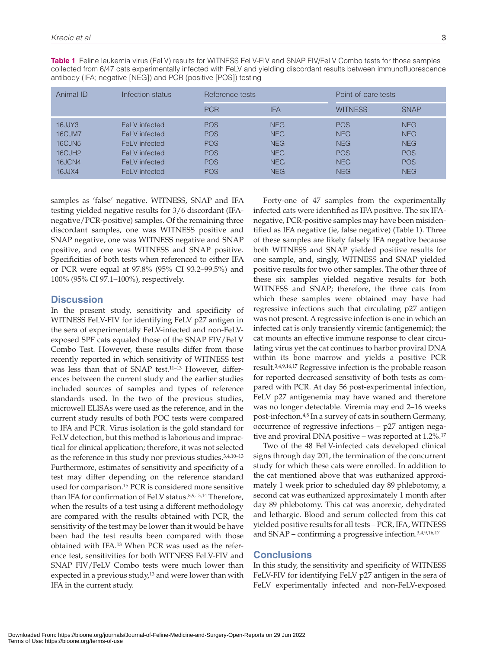| Animal ID                                                                        | Infection status                                                                                   | Reference tests                                                                  |                                                                                  | Point-of-care tests                                                              |                                                                                  |
|----------------------------------------------------------------------------------|----------------------------------------------------------------------------------------------------|----------------------------------------------------------------------------------|----------------------------------------------------------------------------------|----------------------------------------------------------------------------------|----------------------------------------------------------------------------------|
|                                                                                  |                                                                                                    | <b>PCR</b>                                                                       | <b>IFA</b>                                                                       | <b>WITNESS</b>                                                                   | <b>SNAP</b>                                                                      |
| 16JJY3<br>16CJM7<br>16CJN <sub>5</sub><br>16CJH <sub>2</sub><br>16JCN4<br>16JJX4 | FeLV infected<br>FeLV infected<br>FeLV infected<br>FeLV infected<br>FeLV infected<br>FeLV infected | <b>POS</b><br><b>POS</b><br><b>POS</b><br><b>POS</b><br><b>POS</b><br><b>POS</b> | <b>NEG</b><br><b>NEG</b><br><b>NEG</b><br><b>NEG</b><br><b>NEG</b><br><b>NEG</b> | <b>POS</b><br><b>NEG</b><br><b>NEG</b><br><b>POS</b><br><b>NEG</b><br><b>NEG</b> | <b>NEG</b><br><b>NEG</b><br><b>NEG</b><br><b>POS</b><br><b>POS</b><br><b>NEG</b> |

**Table 1** Feline leukemia virus (FeLV) results for WITNESS FeLV-FIV and SNAP FIV/FeLV Combo tests for those samples collected from 6/47 cats experimentally infected with FeLV and yielding discordant results between immunofluorescence antibody (IFA; negative [NEG]) and PCR (positive [POS]) testing

samples as 'false' negative. WITNESS, SNAP and IFA testing yielded negative results for 3/6 discordant (IFAnegative/PCR-positive) samples. Of the remaining three discordant samples, one was WITNESS positive and SNAP negative, one was WITNESS negative and SNAP positive, and one was WITNESS and SNAP positive. Specificities of both tests when referenced to either IFA or PCR were equal at 97.8% (95% CI 93.2–99.5%) and 100% (95% CI 97.1–100%), respectively.

#### **Discussion**

In the present study, sensitivity and specificity of WITNESS FeLV-FIV for identifying FeLV p27 antigen in the sera of experimentally FeLV-infected and non-FeLVexposed SPF cats equaled those of the SNAP FIV/FeLV Combo Test. However, these results differ from those recently reported in which sensitivity of WITNESS test was less than that of SNAP test.11–13 However, differences between the current study and the earlier studies included sources of samples and types of reference standards used. In the two of the previous studies, microwell ELISAs were used as the reference, and in the current study results of both POC tests were compared to IFA and PCR. Virus isolation is the gold standard for FeLV detection, but this method is laborious and impractical for clinical application; therefore, it was not selected as the reference in this study nor previous studies.<sup>3,4,10-13</sup> Furthermore, estimates of sensitivity and specificity of a test may differ depending on the reference standard used for comparison.15 PCR is considered more sensitive than IFA for confirmation of FeLV status.<sup>8,9,13,14</sup> Therefore, when the results of a test using a different methodology are compared with the results obtained with PCR, the sensitivity of the test may be lower than it would be have been had the test results been compared with those obtained with IFA.13 When PCR was used as the reference test, sensitivities for both WITNESS FeLV-FIV and SNAP FIV/FeLV Combo tests were much lower than expected in a previous study,<sup>13</sup> and were lower than with IFA in the current study.

Forty-one of 47 samples from the experimentally infected cats were identified as IFA positive. The six IFAnegative, PCR-positive samples may have been misidentified as IFA negative (ie, false negative) (Table 1). Three of these samples are likely falsely IFA negative because both WITNESS and SNAP yielded positive results for one sample, and, singly, WITNESS and SNAP yielded positive results for two other samples. The other three of these six samples yielded negative results for both WITNESS and SNAP; therefore, the three cats from which these samples were obtained may have had regressive infections such that circulating p27 antigen was not present. A regressive infection is one in which an infected cat is only transiently viremic (antigenemic); the cat mounts an effective immune response to clear circulating virus yet the cat continues to harbor proviral DNA within its bone marrow and yields a positive PCR result.3,4,9,16,17 Regressive infection is the probable reason for reported decreased sensitivity of both tests as compared with PCR. At day 56 post-experimental infection, FeLV p27 antigenemia may have waned and therefore was no longer detectable. Viremia may end 2–16 weeks post-infection.4,8 In a survey of cats in southern Germany, occurrence of regressive infections – p27 antigen negative and proviral DNA positive – was reported at 1.2%.17

Two of the 48 FeLV-infected cats developed clinical signs through day 201, the termination of the concurrent study for which these cats were enrolled. In addition to the cat mentioned above that was euthanized approximately 1 week prior to scheduled day 89 phlebotomy, a second cat was euthanized approximately 1 month after day 89 phlebotomy. This cat was anorexic, dehydrated and lethargic. Blood and serum collected from this cat yielded positive results for all tests – PCR, IFA, WITNESS and SNAP – confirming a progressive infection.3,4,9,16,17

#### **Conclusions**

In this study, the sensitivity and specificity of WITNESS FeLV-FIV for identifying FeLV p27 antigen in the sera of FeLV experimentally infected and non-FeLV-exposed